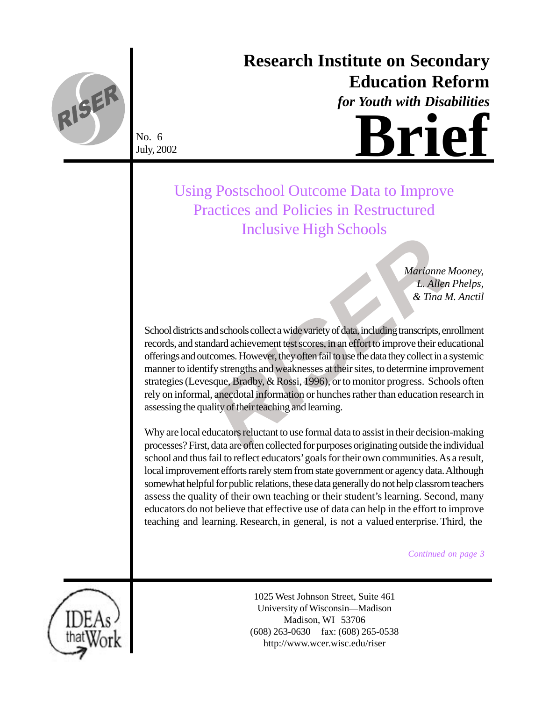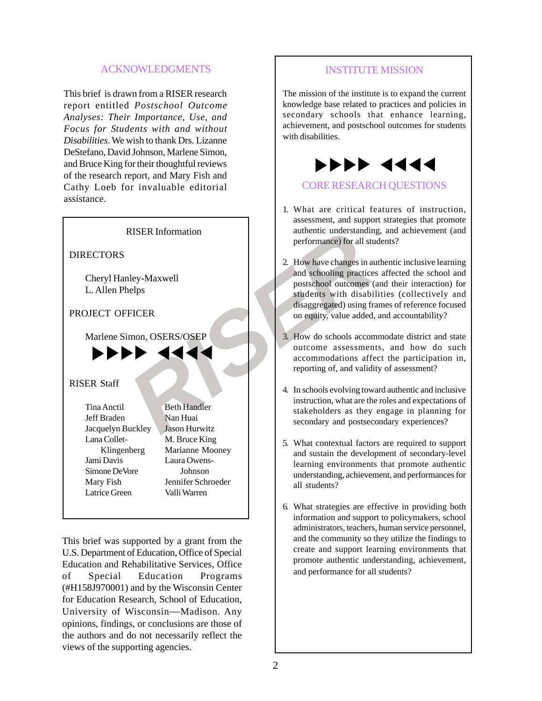#### ACKNOWLEDGMENTS

This brief is drawn from a RISER research report entitled *Postschool Outcome Analyses: Their Importance, Use, and Focus for Students with and without Disabilities*. We wish to thank Drs. Lizanne DeStefano, David Johnson, Marlene Simon, and Bruce King for their thoughtful reviews of the research report, and Mary Fish and Cathy Loeb for invaluable editorial assistance.



This brief was supported by a grant from the U.S. Department of Education, Office of Special Education and Rehabilitative Services, Office of Special Education Programs (#H158J970001) and by the Wisconsin Center for Education Research, School of Education, University of Wisconsin —Madison. Any opinions, findings, or conclusions are those of the authors and do not necessarily reflect the views of the supporting agencies.

#### INSTITUTE MISSION

The mission of the institute is to expand the current knowledge base related to practices and policies in secondary schools that enhance learning, achievement, and postschool outcomes for students with disabilities.



#### CORE RESEARCH QUESTIONS

- 1. What are critical features of instruction, assessment, and support strategies that promote authentic understanding, and achievement (and performance) for all students?
- 2. How have changes in authentic inclusive learning and schooling practices affected the school and postschool outcomes (and their interaction) for students with disabilities (collectively and disaggregated) using frames of reference focused on equity, value added, and accountability?
- 3. How do schools accommodate district and state outcome assessments, and how do such accommodations affect the participation in, reporting of, and validity of assessment?
- 4. In schools evolving toward authentic and inclusive instruction, what are the roles and expectations of stakeholders as they engage in planning for secondary and postsecondary experiences?
- 5. What contextual factors are required to support and sustain the development of secondary-level learning environments that promote authentic understanding, achievement, and performances for all students?
- 6. What strategies are effective in providing both information and support to policymakers, school administrators, teachers, human service personnel, and the community so they utilize the findings to create and support learning environments that promote authentic understanding, achievement, and performance for all students?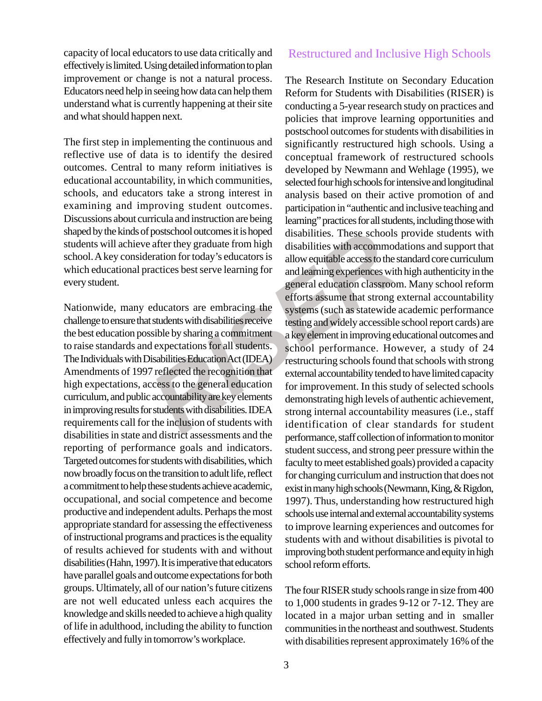capacity of local educators to use data critically and effectively is limited. Using detailed information to plan improvement or change is not a natural process. Educators need help in seeing how data can help them understand what is currently happening at their site and what should happen next.

The first step in implementing the continuous and reflective use of data is to identify the desired outcomes. Central to many reform initiatives is educational accountability, in which communities, schools, and educators take a strong interest in examining and improving student outcomes. Discussions about curricula and instruction are being shaped by the kinds of postschool outcomes it is hoped students will achieve after they graduate from high school. A key consideration for today's educators is which educational practices best serve learning for every student.

Nationwide, many educators are embracing the challenge to ensure that students with disabilities receive the best education possible by sharing a commitment to raise standards and expectations for all students. The Individuals with Disabilities Education Act (IDEA) Amendments of 1997 reflected the recognition that high expectations, access to the general education curriculum, and public accountability are key elements in improving results for students with disabilities. IDEA requirements call for the inclusion of students with disabilities in state and district assessments and the reporting of performance goals and indicators. Targeted outcomes for students with disabilities, which now broadly focus on the transition to adult life, reflect a commitment to help these students achieve academic, occupational, and social competence and become productive and independent adults. Perhaps the most appropriate standard for assessing the effectiveness of instructional programs and practices is the equality of results achieved for students with and without disabilities (Hahn, 1997). It is imperative that educators have parallel goals and outcome expectations for both groups. Ultimately, all of our nation's future citizens are not well educated unless each acquires the knowledge and skills needed to achieve a high quality of life in adulthood, including the ability to function effectively and fully in tomorrow's workplace.

### Restructured and Inclusive High Schools

postschool outcomes it is hoped<br>also disabilities. These schools paration for today's educators is<br>allow equitable access to the stractices best serve learning for<br>and learning experiences with<br>access to the stractices bes The Research Institute on Secondary Education Reform for Students with Disabilities (RISER) is conducting a 5-year research study on practices and policies that improve learning opportunities and postschool outcomes for students with disabilities in significantly restructured high schools. Using a conceptual framework of restructured schools developed by Newmann and Wehlage (1995), we selected four high schools for intensive and longitudinal analysis based on their active promotion of and participation in "authentic and inclusive teaching and learning" practices for all students, including those with disabilities. These schools provide students with disabilities with accommodations and support that allow equitable access to the standard core curriculum and learning experiences with high authenticity in the general education classroom. Many school reform efforts assume that strong external accountability systems (such as statewide academic performance testing and widely accessible school report cards) are a key element in improving educational outcomes and school performance. However, a study of 24 restructuring schools found that schools with strong external accountability tended to have limited capacity for improvement. In this study of selected schools demonstrating high levels of authentic achievement, strong internal accountability measures (i.e., staff identification of clear standards for student performance, staff collection of information to monitor student success, and strong peer pressure within the faculty to meet established goals) provided a capacity for changing curriculum and instruction that does not exist in many high schools (Newmann, King, & Rigdon, 1997). Thus, understanding how restructured high schools use internal and external accountability systems to improve learning experiences and outcomes for students with and without disabilities is pivotal to improving both student performance and equity in high school reform efforts.

> The four RISER study schools range in size from 400 to 1,000 students in grades 9-12 or 7-12. They are located in a major urban setting and in smaller communities in the northeast and southwest. Students with disabilities represent approximately 16% of the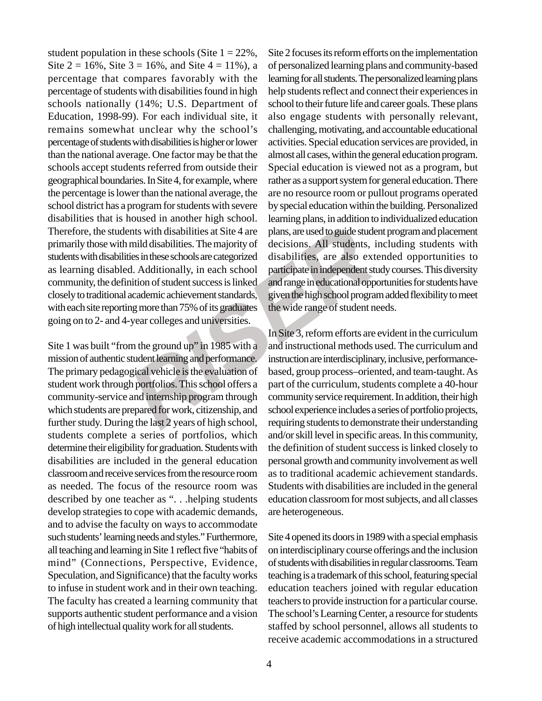From the state of the exclusion of the curriculum, students are the state of the state of the state of the state of the state of the state of the state of the state of the state of the state of the state of the state of th student population in these schools (Site  $1 = 22\%$ , Site  $2 = 16\%$ , Site  $3 = 16\%$ , and Site  $4 = 11\%$ ), a percentage that compares favorably with the percentage of students with disabilities found in high schools nationally (14%; U.S. Department of Education, 1998-99). For each individual site, it remains somewhat unclear why the school's percentage of students with disabilities is higher or lower than the national average. One factor may be that the schools accept students referred from outside their geographical boundaries. In Site 4, for example, where the percentage is lower than the national average, the school district has a program for students with severe disabilities that is housed in another high school. Therefore, the students with disabilities at Site 4 are primarily those with mild disabilities. The majority of students with disabilities in these schools are categorized as learning disabled. Additionally, in each school community, the definition of student success is linked closely to traditional academic achievement standards, with each site reporting more than 75% of its graduates going on to 2- and 4-year colleges and universities.

Site 1 was built "from the ground up" in 1985 with a mission of authentic student learning and performance. The primary pedagogical vehicle is the evaluation of student work through portfolios. This school offers a community-service and internship program through which students are prepared for work, citizenship, and further study. During the last 2 years of high school, students complete a series of portfolios, which determine their eligibility for graduation. Students with disabilities are included in the general education classroom and receive services from the resource room as needed. The focus of the resource room was described by one teacher as ". . .helping students develop strategies to cope with academic demands, and to advise the faculty on ways to accommodate such students' learning needs and styles." Furthermore, all teaching and learning in Site 1 reflect five "habits of mind" (Connections, Perspective, Evidence, Speculation, and Significance) that the faculty works to infuse in student work and in their own teaching. The faculty has created a learning community that supports authentic student performance and a vision of high intellectual quality work for all students.

Site 2 focuses its reform efforts on the implementation of personalized learning plans and community-based learning for all students. The personalized learning plans help students reflect and connect their experiences in school to their future life and career goals. These plans also engage students with personally relevant, challenging, motivating, and accountable educational activities. Special education services are provided, in almost all cases, within the general education program. Special education is viewed not as a program, but rather as a support system for general education. There are no resource room or pullout programs operated by special education within the building. Personalized learning plans, in addition to individualized education plans, are used to guide student program and placement decisions. All students, including students with disabilities, are also extended opportunities to participate in independent study courses. This diversity and range in educational opportunities for students have given the high school program added flexibility to meet the wide range of student needs.

In Site 3, reform efforts are evident in the curriculum and instructional methods used. The curriculum and instruction are interdisciplinary, inclusive, performancebased, group process–oriented, and team-taught. As part of the curriculum, students complete a 40-hour community service requirement. In addition, their high school experience includes a series of portfolio projects, requiring students to demonstrate their understanding and/or skill level in specific areas. In this community, the definition of student success is linked closely to personal growth and community involvement as well as to traditional academic achievement standards. Students with disabilities are included in the general education classroom for most subjects, and all classes are heterogeneous.

Site 4 opened its doors in 1989 with a special emphasis on interdisciplinary course offerings and the inclusion of students with disabilities in regular classrooms. Team teaching is a trademark of this school, featuring special education teachers joined with regular education teachers to provide instruction for a particular course. The school's Learning Center, a resource for students staffed by school personnel, allows all students to receive academic accommodations in a structured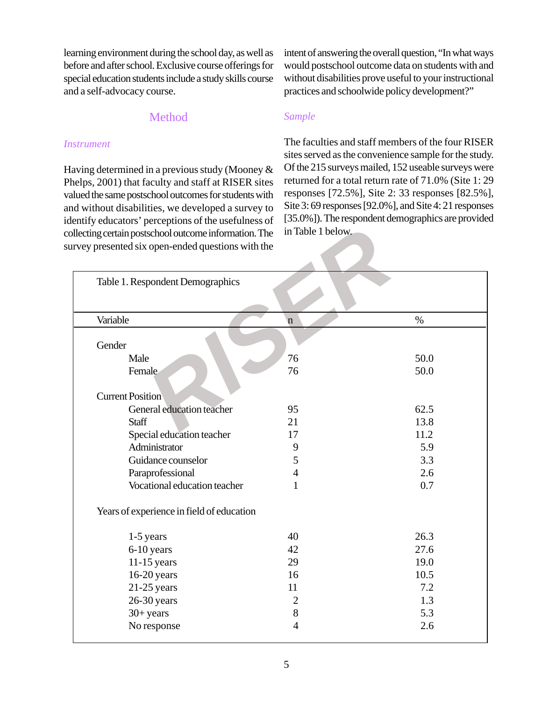learning environment during the school day, as well as before and after school. Exclusive course offerings for special education students include a study skills course and a self-advocacy course.

intent of answering the overall question, "In what ways would postschool outcome data on students with and without disabilities prove useful to your instructional practices and schoolwide policy development?"

### Method

#### *Instrument*

Having determined in a previous study (Mooney & Phelps, 2001) that faculty and staff at RISER sites valued the same postschool outcomes for students with and without disabilities, we developed a survey to identify educators' perceptions of the usefulness of collecting certain postschool outcome information. The survey presented six open-ended questions with the

### *Sample*

The faculties and staff members of the four RISER sites served as the convenience sample for the study. Of the 215 surveys mailed, 152 useable surveys were returned for a total return rate of 71.0% (Site 1: 29 responses [72.5%], Site 2: 33 responses [82.5%], Site 3: 69 responses [92.0%], and Site 4: 21 responses [35.0%]). The respondent demographics are provided in Table 1 below.

| Table 1. Respondent Demographics          |                |      |
|-------------------------------------------|----------------|------|
|                                           |                |      |
| Variable                                  | $\mathbf n$    | $\%$ |
| Gender                                    |                |      |
| Male                                      | 76             | 50.0 |
| Female                                    | 76             | 50.0 |
|                                           |                |      |
| <b>Current Position</b>                   |                |      |
| General education teacher                 | 95             | 62.5 |
| <b>Staff</b>                              | 21             | 13.8 |
| Special education teacher                 | 17             | 11.2 |
| Administrator                             | 9              | 5.9  |
| Guidance counselor                        | 5              | 3.3  |
| Paraprofessional                          | $\overline{4}$ | 2.6  |
| Vocational education teacher              | $\mathbf{1}$   | 0.7  |
| Years of experience in field of education |                |      |
| $1-5$ years                               | 40             | 26.3 |
| 6-10 years                                | 42             | 27.6 |
| $11-15$ years                             | 29             | 19.0 |
| $16-20$ years                             | 16             | 10.5 |
| $21-25$ years                             | 11             | 7.2  |
| $26-30$ years                             | $\overline{2}$ | 1.3  |
| $30+years$                                | 8              | 5.3  |
| No response                               | $\overline{4}$ | 2.6  |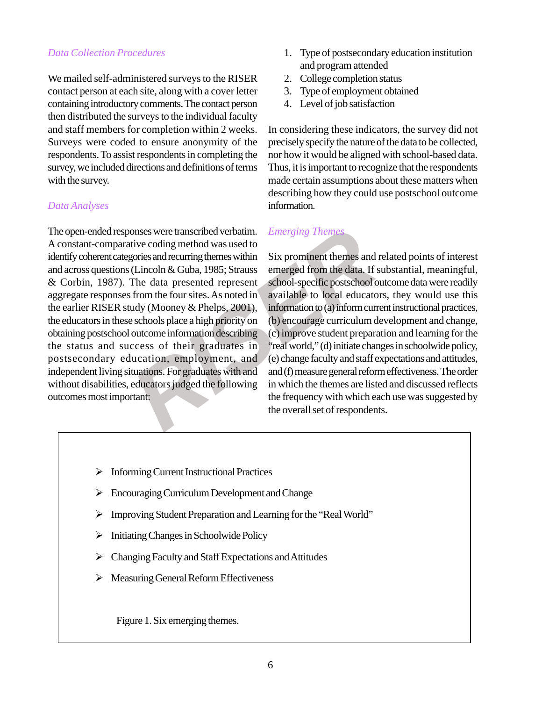# *Data Collection Procedures*

We mailed self-administered surveys to the RISER contact person at each site, along with a cover letter containing introductory comments. The contact person then distributed the surveys to the individual faculty and staff members for completion within 2 weeks. Surveys were coded to ensure anonymity of the respondents. To assist respondents in completing the survey, we included directions and definitions of terms with the survey.

### *Data Analyses*

onses were transcribed verbatim. *Emerging Themes*<br>tive coding method was used to<br>gories and recurring themes within Six prominent themes and re<br>(Lincoln & Guba, 1985; Strauss emerged from the data. If su<br>The data presente The open-ended responses were transcribed verbatim. A constant-comparative coding method was used to identify coherent categories and recurring themes within and across questions (Lincoln & Guba, 1985; Strauss & Corbin, 1987). The data presented represent aggregate responses from the four sites. As noted in the earlier RISER study (Mooney & Phelps, 2001), the educators in these schools place a high priority on obtaining postschool outcome information describing the status and success of their graduates in postsecondary education, employment, and independent living situations. For graduates with and without disabilities, educators judged the following outcomes most important:

- 1. Type of postsecondary education institution and program attended
- 2. College completion status
- 3. Type of employment obtained
- 4. Level of job satisfaction

In considering these indicators, the survey did not precisely specify the nature of the data to be collected, nor how it would be aligned with school-based data. Thus, it is important to recognize that the respondents made certain assumptions about these matters when describing how they could use postschool outcome information.

# *Emerging Theme*

Six prominent themes and related points of interest emerged from the data. If substantial, meaningful, school-specific postschool outcome data were readily available to local educators, they would use this information to (a) inform current instructional practices, (b) encourage curriculum development and change, (c) improve student preparation and learning for the "real world," (d) initiate changes in schoolwide policy, (e) change faculty and staff expectations and attitudes, and (f) measure general reform effectiveness. The order in which the themes are listed and discussed reflects the frequency with which each use was suggested by the overall set of respondents.

- ¾ Informing Current Instructional Practices
- $\triangleright$  Encouraging Curriculum Development and Change
- ¾ Improving Student Preparation and Learning for the "Real World"
- $\triangleright$  Initiating Changes in Schoolwide Policy
- $\triangleright$  Changing Faculty and Staff Expectations and Attitudes
- ¾ Measuring General Reform Effectiveness

Figure 1. Six emerging themes.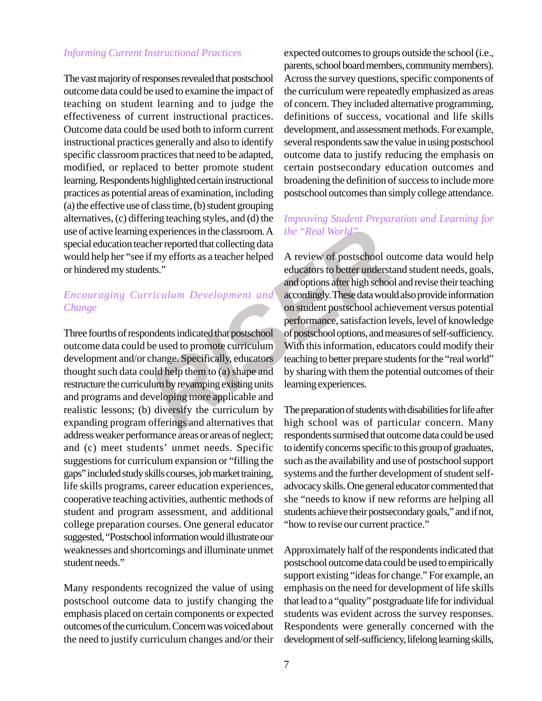#### *Informing Current Instructional Practices*

The vast majority of responses revealed that postschool outcome data could be used to examine the impact of teaching on student learning and to judge the effectiveness of current instructional practices. Outcome data could be used both to inform current instructional practices generally and also to identify specific classroom practices that need to be adapted, modified, or replaced to better promote student learning. Respondents highlighted certain instructional practices as potential areas of examination, including (a) the effective use of class time, (b) student grouping alternatives, (c) differing teaching styles, and (d) the use of active learning experiences in the classroom. A special education teacher reported that collecting data would help her "see if my efforts as a teacher helped or hindered my students."

### *Encouraging Curriculum Development and Change*

Three fourths of respondents indicated that postschool outcome data could be used to promote curriculum development and/or change. Specifically, educators thought such data could help them to (a) shape and restructure the curriculum by revamping existing units and programs and developing more applicable and realistic lessons; (b) diversify the curriculum by expanding program offerings and alternatives that address weaker performance areas or areas of neglect; and (c) meet students' unmet needs. Specific suggestions for curriculum expansion or "filling the gaps" included study skills courses, job market training, life skills programs, career education experiences, cooperative teaching activities, authentic methods of student and program assessment, and additional college preparation courses. One general educator suggested, "Postschool information would illustrate our weaknesses and shortcomings and illuminate unmet student needs."

Many respondents recognized the value of using postschool outcome data to justify changing the emphasis placed on certain components or expected outcomes of the curriculum. Concern was voiced about the need to justify curriculum changes and/or their expected outcomes to groups outside the school (i.e., parents, school board members, community members). Across the survey questions, specific components of the curriculum were repeatedly emphasized as areas of concern. They included alternative programming, definitions of success, vocational and life skills development, and assessment methods. For example, several respondents saw the value in using postschool outcome data to justify reducing the emphasis on certain postsecondary education outcomes and broadening the definition of success to include more postschool outcomes than simply college attendance.

### *Improving Student Preparation and Learning for the "Real World"*

Figure 1.1 and the technomic streaming experiences in the classroom. A the "Real World"<br>
There reported that collecting data<br>
flave efforts as a teacher helped A review of postschool out<br>
number of postschool out<br>
number o A review of postschool outcome data would help educators to better understand student needs, goals, and options after high school and revise their teaching accordingly. These data would also provide information on student postschool achievement versus potential performance, satisfaction levels, level of knowledge of postschool options, and measures of self-sufficiency. With this information, educators could modify their teaching to better prepare students for the "real world" by sharing with them the potential outcomes of their learning experiences.

The preparation of students with disabilities for life after high school was of particular concern. Many respondents surmised that outcome data could be used to identify concerns specific to this group of graduates, such as the availability and use of postschool support systems and the further development of student selfadvocacy skills. One general educator commented that she "needs to know if new reforms are helping all students achieve their postsecondary goals," and if not, "how to revise our current practice."

Approximately half of the respondents indicated that postschool outcome data could be used to empirically support existing "ideas for change." For example, an emphasis on the need for development of life skills that lead to a "quality" postgraduate life for individual students was evident across the survey responses. Respondents were generally concerned with the development of self-sufficiency, lifelong learning skills,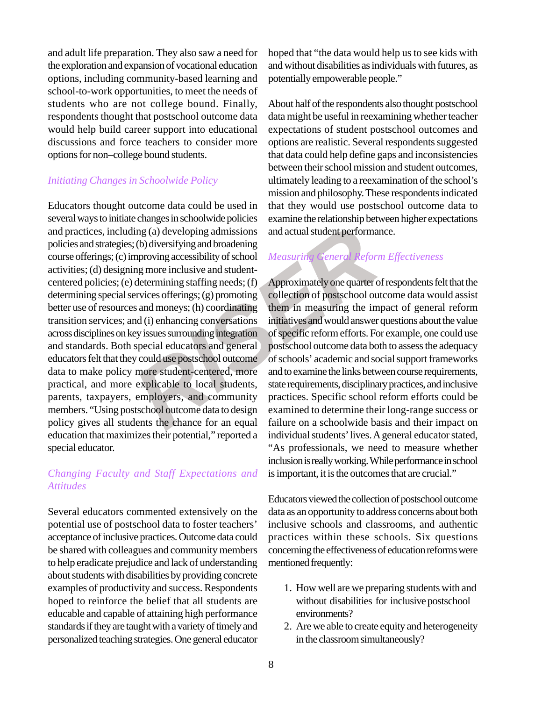and adult life preparation. They also saw a need for the exploration and expansion of vocational education options, including community-based learning and school-to-work opportunities, to meet the needs of students who are not college bound. Finally, respondents thought that postschool outcome data would help build career support into educational discussions and force teachers to consider more options for non–college bound students.

#### *Initiating Changes in Schoolwide Policy*

ing (a) developing admissions and actual student performance (b) diversifying and broadening<br>ing (a) developing admissions and actual student performance<br>mproving accessibility of school *Measuring General Reform*<br>mg more Educators thought outcome data could be used in several ways to initiate changes in schoolwide policies and practices, including (a) developing admissions policies and strategies; (b) diversifying and broadening course offerings; (c) improving accessibility of school activities; (d) designing more inclusive and studentcentered policies; (e) determining staffing needs; (f) determining special services offerings; (g) promoting better use of resources and moneys; (h) coordinating transition services; and (i) enhancing conversations across disciplines on key issues surrounding integration and standards. Both special educators and general educators felt that they could use postschool outcome data to make policy more student-centered, more practical, and more explicable to local students, parents, taxpayers, employers, and community members. "Using postschool outcome data to design policy gives all students the chance for an equal education that maximizes their potential," reported a special educator.

# *Changing Faculty and Staff Expectations and Attitudes*

Several educators commented extensively on the potential use of postschool data to foster teachers' acceptance of inclusive practices. Outcome data could be shared with colleagues and community members to help eradicate prejudice and lack of understanding about students with disabilities by providing concrete examples of productivity and success. Respondents hoped to reinforce the belief that all students are educable and capable of attaining high performance standards if they are taught with a variety of timely and personalized teaching strategies. One general educator hoped that "the data would help us to see kids with and without disabilities as individuals with futures, as potentially empowerable people."

About half of the respondents also thought postschool data might be useful in reexamining whether teacher expectations of student postschool outcomes and options are realistic. Several respondents suggested that data could help define gaps and inconsistencies between their school mission and student outcomes, ultimately leading to a reexamination of the school's mission and philosophy. These respondents indicated that they would use postschool outcome data to examine the relationship between higher expectations and actual student performance.

# *Measuring General Reform Effectiveness*

Approximately one quarter of respondents felt that the collection of postschool outcome data would assist them in measuring the impact of general reform initiatives and would answer questions about the value of specific reform efforts. For example, one could use postschool outcome data both to assess the adequacy of schools' academic and social support frameworks and to examine the links between course requirements, state requirements, disciplinary practices, and inclusive practices. Specific school reform efforts could be examined to determine their long-range success or failure on a schoolwide basis and their impact on individual students' lives. A general educator stated, "As professionals, we need to measure whether inclusion is really working. While performance in school is important, it is the outcomes that are crucial."

Educators viewed the collection of postschool outcome data as an opportunity to address concerns about both inclusive schools and classrooms, and authentic practices within these schools. Six questions concerning the effectiveness of education reforms were mentioned frequently:

- 1. How well are we preparing students with and without disabilities for inclusive postschool environments?
- 2. Are we able to create equity and heterogeneity in the classroom simultaneously?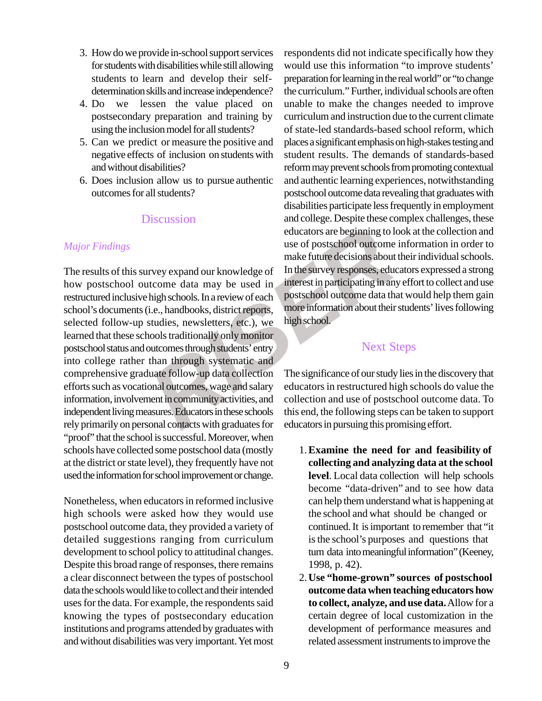- 3. How do we provide in-school support services for students with disabilities while still allowing students to learn and develop their selfdetermination skills and increase independence?
- 4. Do we lessen the value placed on postsecondary preparation and training by using the inclusion model for all students?
- 5. Can we predict or measure the positive and negative effects of inclusion on students with and without disabilities?
- 6. Does inclusion allow us to pursue authentic outcomes for all students?

#### **Discussion**

#### *Major Findings*

FISCUSSION and conege. Despite these cone<br>
educators are beginning to loom<br>
the make future decisions about the<br>
rever expand our knowledge of In the survey responses, educator<br>
toome data may be used in the survey respons The results of this survey expand our knowledge of how postschool outcome data may be used in restructured inclusive high schools. In a review of each school's documents (i.e., handbooks, district reports, selected follow-up studies, newsletters, etc.), we learned that these schools traditionally only monitor postschool status and outcomes through students' entry into college rather than through systematic and comprehensive graduate follow-up data collection efforts such as vocational outcomes, wage and salary information, involvement in community activities, and independent living measures. Educators in these schools rely primarily on personal contacts with graduates for "proof" that the school is successful. Moreover, when schools have collected some postschool data (mostly at the district or state level), they frequently have not used the information for school improvement or change.

Nonetheless, when educators in reformed inclusive high schools were asked how they would use postschool outcome data, they provided a variety of detailed suggestions ranging from curriculum development to school policy to attitudinal changes. Despite this broad range of responses, there remains a clear disconnect between the types of postschool data the schools would like to collect and their intended uses for the data. For example, the respondents said knowing the types of postsecondary education institutions and programs attended by graduates with and without disabilities was very important. Yet most respondents did not indicate specifically how they would use this information "to improve students' preparation for learning in the real world" or "to change the curriculum." Further, individual schools are often unable to make the changes needed to improve curriculum and instruction due to the current climate of state-led standards-based school reform, which places a significant emphasis on high-stakes testing and student results. The demands of standards-based reform may prevent schools from promoting contextual and authentic learning experiences, notwithstanding postschool outcome data revealing that graduates with disabilities participate less frequently in employment and college. Despite these complex challenges, these educators are beginning to look at the collection and use of postschool outcome information in order to make future decisions about their individual schools. In the survey responses, educators expressed a strong interest in participating in any effort to collect and use postschool outcome data that would help them gain more information about their students' lives following high school.

# Next Steps

The significance of our study lies in the discovery that educators in restructured high schools do value the collection and use of postschool outcome data. To this end, the following steps can be taken to support educators in pursuing this promising effort.

- 1.**Examine the need for and feasibility of collecting and analyzing data at the school level**. Local data collection will help schools become "data-driven" and to see how data can help them understand what is happening at the school and what should be changed or continued. It is important to remember that "it is the school's purposes and questions that turn data into meaningful information" (Keeney, 1998, p. 42).
- 2.**Use "home-grown" sources of postschool outcome data when teaching educators how to collect, analyze, and use data.** Allow for a certain degree of local customization in the development of performance measures and related assessment instruments to improve the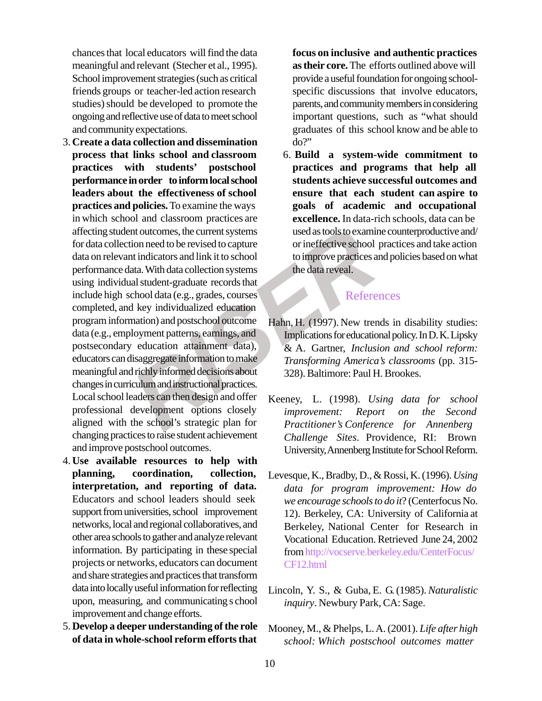chances that local educators will find the data meaningful and relevant (Stecher et al., 1995). School improvement strategies (such as critical friends groups or teacher-led action research studies) should be developed to promote the ongoing and reflective use of data to meet school and community expectations.

- Fractional Controlling and Student excited to capture<br>
in the current systems used as tools to examine<br>
in this indicators and link it to school<br>
to improve practices and<br>
al student-graduate records that<br>
al student-gradu 3.**Create a data collection and dissemination process that links school and classroom practices with students' postschool performance in order to inform local school leaders about the effectiveness of school practices and policies.** To examine the ways in which school and classroom practices are affecting student outcomes, the current systems for data collection need to be revised to capture data on relevant indicators and link it to school performance data. With data collection systems using individual student-graduate records that include high school data (e.g., grades, courses completed, and key individualized education program information) and postschool outcome data (e.g., employment patterns, earnings, and postsecondary education attainment data), educators can disaggregate information to make meaningful and richly informed decisions about changes in curriculum and instructional practices. Local school leaders can then design and offer professional development options closely aligned with the school's strategic plan for changing practices to raise student achievement and improve postschool outcomes.
- 4.**Use available resources to help with planning, coordination, collection, interpretation, and reporting of data.** Educators and school leaders should seek support from universities, school improvement networks, local and regional collaboratives, and other area schools to gather and analyze relevant information. By participating in these special projects or networks, educators can document and share strategies and practices that transform data into locally useful information for reflecting upon, measuring, and communicating s chool improvement and change efforts.
- 5.**Develop a deeper understanding of the role of data in whole-school reform efforts that**

**focus on inclusive and authentic practices as their core.** The efforts outlined above will provide a useful foundation for ongoing schoolspecific discussions that involve educators, parents, and community members in considering important questions, such as "what should graduates of this school know and be able to do?"

6. **Build a system-wide commitment to practices and programs that help all students achieve successful outcomes and ensure that each student can aspire to goals of academic and occupational excellence.** In data-rich schools, data can be used as tools to examine counterproductive and/ or ineffective school practices and take action to improve practices and policies based on what the data reveal.

### References

- Hahn, H. (1997). New trends in disability studies: Implications for educational policy. In D. K. Lipsky & A. Gartner, *Inclusion and school reform: Transforming America's classrooms* (pp. 315- 328). Baltimore: Paul H. Brookes.
- Keeney, L. (1998). *Using data for school improvement: Report on the Second Practitioner's Conference for Annenberg Challenge Sites*. Providence, RI: Brown University, Annenberg Institute for School Reform.
- Levesque, K., Bradby, D., & Rossi, K. (1996). *Using data for program improvement: How do we encourage schools to do it*? (Centerfocus No. 12). Berkeley, CA: University of California at Berkeley, National Center for Research in Vocational Education. Retrieved June 24, 2002 from http://vocserve.berkeley.edu/CenterFocus/ CF12.html
- Lincoln, Y. S., & Guba, E. G. (1985). *Naturalistic inquiry*. Newbury Park, CA: Sage.
- Mooney, M., & Phelps, L. A. (2001). *Life after high school: Which postschool outcomes matter*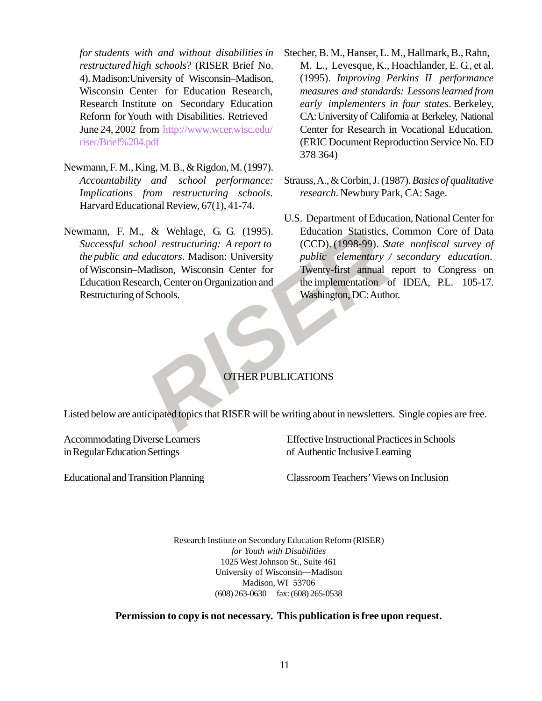*for students with and without disabilities in restructured high schools*? (RISER Brief No. 4). Madison:University of Wisconsin–Madison, Wisconsin Center for Education Research, Research Institute on Secondary Education Reform for Youth with Disabilities. Retrieved June 24, 2002 from http://www.wcer.wisc.edu/ riser/Brief%204.pdf

- Newmann, F. M., King, M. B., & Rigdon, M. (1997). *Accountability and school performance: Implications from restructuring schools*. Harvard Educational Review, 67(1), 41-74.
- & Wehlage, G. G. (1995). Equation Statistics, C<br>
col restructuring: A report to (CCD). (1998-99). State<br>
ducators. Madison: University public elementary / s<br>
adison, Wisconsin Center for Twenty-first annual re<br>
uch, Center Newmann, F. M., & Wehlage, G. G. (1995). *Successful school restructuring: A report to the public and educators*. Madison: University of Wisconsin–Madison, Wisconsin Center for Education Research, Center on Organization and Restructuring of Schools.
- Stecher, B. M., Hanser, L. M., Hallmark, B., Rahn, M. L., Levesque, K., Hoachlander, E. G., et al. (1995). *Improving Perkins II performance measures and standards: Lessons learned from early implementers in four states*. Berkeley, CA: University of California at Berkeley, National Center for Research in Vocational Education. (ERIC Document Reproduction Service No. ED 378 364)
- Strauss, A., & Corbin, J. (1987). *Basics of qualitative research*. Newbury Park, CA: Sage.
- U.S. Department of Education, National Center for Education Statistics, Common Core of Data (CCD). (1998-99). *State nonfiscal survey of public elementary / secondary education*. Twenty-first annual report to Congress on the implementation of IDEA, P.L. 105-17. Washington, DC: Author.

### OTHER PUBLICATIONS

Listed below are anticipated topics that RISER will be writing about in newsletters. Single copies are free.

Accommodating Diverse Learners Effective Instructional Practices in Schools in Regular Education Settings of Authentic Inclusive Learning

Educational and Transition Planning Classroom Teachers' Views on Inclusion

Research Institute on Secondary Education Reform (RISER) *for Youth with Disabilities* 1025 West Johnson St., Suite 461 University of Wisconsin—Madison Madison, WI 53706 (608) 263-0630 fax: (608) 265-0538

**Permission to copy is not necessary. This publication is free upon request.**